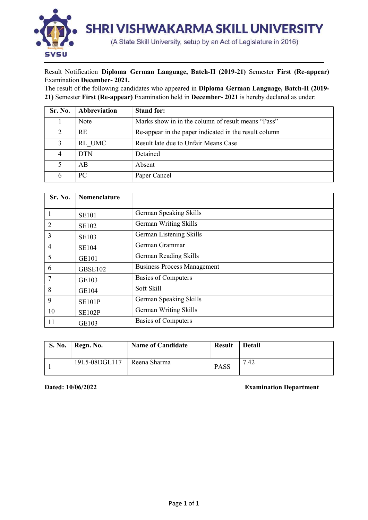

## Result Notification Diploma German Language, Batch-II (2019-21) Semester First (Re-appear) Examination December- 2021.

The result of the following candidates who appeared in Diploma German Language, Batch-II (2019- 21) Semester First (Re-appear) Examination held in December- 2021 is hereby declared as under:

| Sr. No. | Abbreviation | <b>Stand for:</b>                                     |
|---------|--------------|-------------------------------------------------------|
|         | Note         | Marks show in in the column of result means "Pass"    |
|         | <b>RE</b>    | Re-appear in the paper indicated in the result column |
|         | RL UMC       | Result late due to Unfair Means Case                  |
|         | <b>DTN</b>   | Detained                                              |
|         | AB           | Absent                                                |
|         | PC.          | Paper Cancel                                          |

| Sr. No.        | Nomenclature   |                                    |
|----------------|----------------|------------------------------------|
|                |                |                                    |
| 1              | <b>SE101</b>   | German Speaking Skills             |
| 2              | <b>SE102</b>   | German Writing Skills              |
| 3              | <b>SE103</b>   | German Listening Skills            |
| $\overline{4}$ | <b>SE104</b>   | German Grammar                     |
| 5              | <b>GE101</b>   | German Reading Skills              |
| 6              | <b>GBSE102</b> | <b>Business Process Management</b> |
| 7              | GE103          | <b>Basics of Computers</b>         |
| 8              | GE104          | Soft Skill                         |
| 9              | <b>SE101P</b>  | German Speaking Skills             |
| 10             | <b>SE102P</b>  | German Writing Skills              |
| 11             | GE103          | Basics of Computers                |

| <b>S. No.</b> | Regn. No.     | <b>Name of Candidate</b> | <b>Result</b> | <b>Detail</b> |
|---------------|---------------|--------------------------|---------------|---------------|
|               | 19L5-08DGL117 | Reena Sharma             | <b>PASS</b>   | .42<br>⇁      |

Dated: 10/06/2022 Examination Department